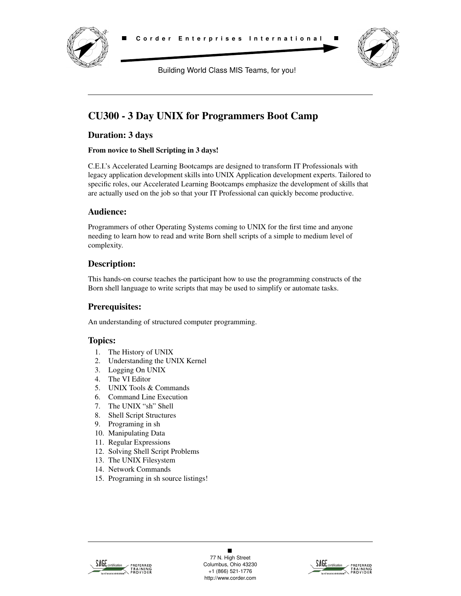

Building World Class MIS Teams, for you!

# **CU300 - 3 Day UNIX for Programmers Boot Camp**

# **Duration: 3 days**

#### **From novice to Shell Scripting in 3 days!**

C.E.I.'s Accelerated Learning Bootcamps are designed to transform IT Professionals with legacy application development skills into UNIX Application development experts. Tailored to specific roles, our Accelerated Learning Bootcamps emphasize the development of skills that are actually used on the job so that your IT Professional can quickly become productive.

#### **Audience:**

Programmers of other Operating Systems coming to UNIX for the first time and anyone needing to learn how to read and write Born shell scripts of a simple to medium level of complexity.

# **Description:**

This hands-on course teaches the participant how to use the programming constructs of the Born shell language to write scripts that may be used to simplify or automate tasks.

## **Prerequisites:**

An understanding of structured computer programming.

## **Topics:**

- 1. The History of UNIX
- 2. Understanding the UNIX Kernel
- 3. Logging On UNIX
- 4. The VI Editor
- 5. UNIX Tools & Commands
- 6. Command Line Execution
- 7. The UNIX "sh" Shell
- 8. Shell Script Structures
- 9. Programing in sh
- 10. Manipulating Data
- 11. Regular Expressions
- 12. Solving Shell Script Problems
- 13. The UNIX Filesystem
- 14. Network Commands
- 15. Programing in sh source listings!



 $\blacksquare$ 77 N. High Street Columbus, Ohio 43230 +1 (866) 521-1776 http://www.corder.com

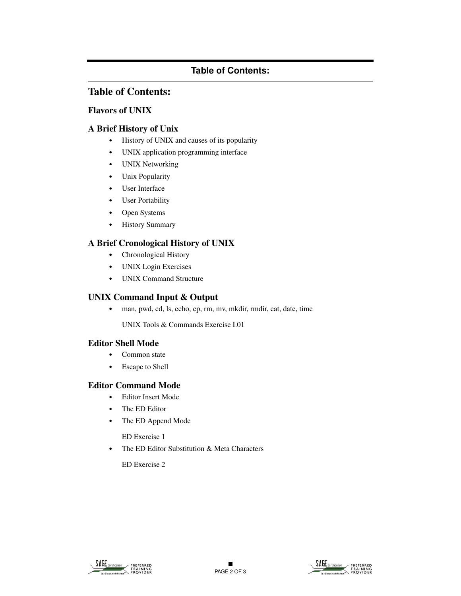# **Table of Contents:**

# **Table of Contents:**

### **Flavors of UNIX**

### **A Brief History of Unix**

- **•** History of UNIX and causes of its popularity
- **•** UNIX application programming interface
- **•** UNIX Networking
- **•** Unix Popularity
- **•** User Interface
- **•** User Portability
- **•** Open Systems
- **•** History Summary

## **A Brief Cronological History of UNIX**

- **•** Chronological History
- **•** UNIX Login Exercises
- **•** UNIX Command Structure

#### **UNIX Command Input & Output**

**•** man, pwd, cd, ls, echo, cp, rm, mv, mkdir, rmdir, cat, date, time

UNIX Tools & Commands Exercise I.01

#### **Editor Shell Mode**

- **•** Common state
- **•** Escape to Shell

#### **Editor Command Mode**

- **•** Editor Insert Mode
- **•** The ED Editor
- **•** The ED Append Mode

ED Exercise 1

**•** The ED Editor Substitution & Meta Characters

ED Exercise 2